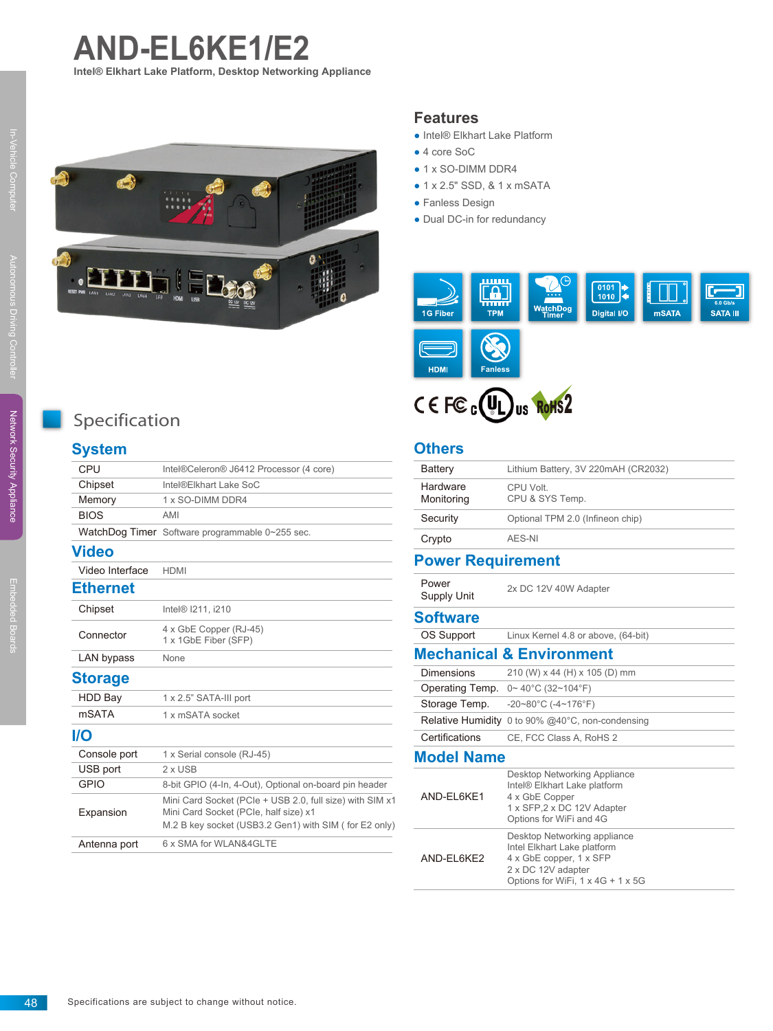



#### **Features**

- Intel® Elkhart Lake Platform
- 4 core SoC
- 1 x SO-DIMM DDR4
- 1 x 2.5" SSD, & 1 x mSATA
- Fanless Design
- Dual DC-in for redundancy





#### **Others**

| Battery                  | Lithium Battery, 3V 220mAH (CR2032)                                                                                                               |  |
|--------------------------|---------------------------------------------------------------------------------------------------------------------------------------------------|--|
| Hardware<br>Monitoring   | CPU Volt.<br>CPU & SYS Temp.                                                                                                                      |  |
| Security                 | Optional TPM 2.0 (Infineon chip)                                                                                                                  |  |
| Crypto                   | AFS-NI                                                                                                                                            |  |
| <b>Power Requirement</b> |                                                                                                                                                   |  |
| Power<br>Supply Unit     | 2x DC 12V 40W Adapter                                                                                                                             |  |
| <b>Software</b>          |                                                                                                                                                   |  |
| OS Support               | Linux Kernel 4.8 or above, (64-bit)                                                                                                               |  |
|                          | <b>Mechanical &amp; Environment</b>                                                                                                               |  |
| <b>Dimensions</b>        | 210 (W) x 44 (H) x 105 (D) mm                                                                                                                     |  |
| Operating Temp.          | $0 \sim 40^{\circ}$ C (32~104°F)                                                                                                                  |  |
| Storage Temp.            | $-20-80^{\circ}$ C ( $-4-176^{\circ}$ F)                                                                                                          |  |
|                          | <b>Relative Humidity</b> 0 to 90% @40°C, non-condensing                                                                                           |  |
| Certifications           | CE, FCC Class A, RoHS 2                                                                                                                           |  |
| <b>Model Name</b>        |                                                                                                                                                   |  |
| AND-EL6KE1               | Desktop Networking Appliance<br>Intel® Elkhart Lake platform<br>4 x GbE Copper<br>1 x SFP, 2 x DC 12V Adapter<br>Options for WiFi and 4G          |  |
| AND-EL6KE2               | Desktop Networking appliance<br>Intel Elkhart Lake platform<br>4 x GbE copper, 1 x SFP<br>2 x DC 12V adapter<br>Options for WiFi, 1 x 4G + 1 x 5G |  |

# Specification

### **System**

| CPU             | Intel®Celeron® J6412 Processor (4 core)                                                           |
|-----------------|---------------------------------------------------------------------------------------------------|
| Chipset         | Intel®Elkhart Lake SoC                                                                            |
| Memory          | 1 x SO-DIMM DDR4                                                                                  |
| <b>BIOS</b>     | AMI                                                                                               |
|                 | WatchDog Timer Software programmable 0~255 sec.                                                   |
| <b>Video</b>    |                                                                                                   |
| Video Interface | <b>HDMI</b>                                                                                       |
| Ethernet        |                                                                                                   |
| Chipset         | Intel <sup>®</sup> 1211, i210                                                                     |
| Connector       | 4 x GbE Copper (RJ-45)<br>1 x 1GbE Fiber (SFP)                                                    |
| LAN bypass      | None                                                                                              |
| <b>Storage</b>  |                                                                                                   |
| <b>HDD Bay</b>  | 1 x 2.5" SATA-III port                                                                            |
| <b>mSATA</b>    | 1 x mSATA socket                                                                                  |
| I/O             |                                                                                                   |
| Console port    | 1 x Serial console (RJ-45)                                                                        |
| USB port        | 2 x USB                                                                                           |
| <b>GPIO</b>     | 8-bit GPIO (4-In, 4-Out), Optional on-board pin header                                            |
| Expansion       | Mini Card Socket (PCIe + USB 2.0, full size) with SIM x1<br>Mini Card Socket (PCIe, half size) x1 |
|                 | M.2 B key socket (USB3.2 Gen1) with SIM (for E2 only)                                             |
| Antenna port    | 6 x SMA for WLAN&4GLTE                                                                            |
|                 |                                                                                                   |

In-Vehicle Computer